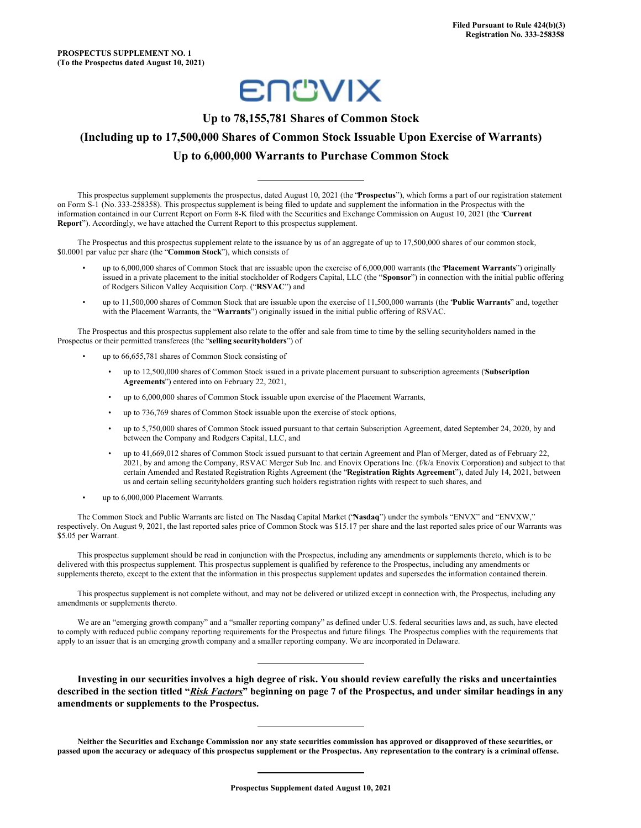

# **Up to 78,155,781 Shares of Common Stock (Including up to 17,500,000 Shares of Common Stock Issuable Upon Exercise of Warrants) Up to 6,000,000 Warrants to Purchase Common Stock**

This prospectus supplement supplements the prospectus, dated August 10, 2021 (the "**Prospectus**"), which forms a part of our registration statement on Form S-1 (No. 333-258358). This prospectus supplement is being filed to update and supplement the information in the Prospectus with the information contained in our Current Report on Form 8-K filed with the Securities and Exchange Commission on August 10, 2021 (the "**Current Report**"). Accordingly, we have attached the Current Report to this prospectus supplement.

The Prospectus and this prospectus supplement relate to the issuance by us of an aggregate of up to 17,500,000 shares of our common stock, \$0.0001 par value per share (the "**Common Stock**"), which consists of

- up to 6,000,000 shares of Common Stock that are issuable upon the exercise of 6,000,000 warrants (the "**Placement Warrants**") originally issued in a private placement to the initial stockholder of Rodgers Capital, LLC (the "**Sponsor**") in connection with the initial public offering of Rodgers Silicon Valley Acquisition Corp. ("**RSVAC**") and
- up to 11,500,000 shares of Common Stock that are issuable upon the exercise of 11,500,000 warrants (the "**Public Warrants**" and, together with the Placement Warrants, the "**Warrants**") originally issued in the initial public offering of RSVAC.

The Prospectus and this prospectus supplement also relate to the offer and sale from time to time by the selling securityholders named in the Prospectus or their permitted transferees (the "**selling securityholders**") of

- up to 66,655,781 shares of Common Stock consisting of
	- up to 12,500,000 shares of Common Stock issued in a private placement pursuant to subscription agreements ("**Subscription Agreements**") entered into on February 22, 2021,
	- up to 6,000,000 shares of Common Stock issuable upon exercise of the Placement Warrants,
	- up to 736,769 shares of Common Stock issuable upon the exercise of stock options,
	- up to 5,750,000 shares of Common Stock issued pursuant to that certain Subscription Agreement, dated September 24, 2020, by and between the Company and Rodgers Capital, LLC, and
	- up to 41,669,012 shares of Common Stock issued pursuant to that certain Agreement and Plan of Merger, dated as of February 22, 2021, by and among the Company, RSVAC Merger Sub Inc. and Enovix Operations Inc. (f/k/a Enovix Corporation) and subject to that certain Amended and Restated Registration Rights Agreement (the "**Registration Rights Agreement**"), dated July 14, 2021, between us and certain selling securityholders granting such holders registration rights with respect to such shares, and
- up to 6,000,000 Placement Warrants.

The Common Stock and Public Warrants are listed on The Nasdaq Capital Market ("**Nasdaq**") under the symbols "ENVX" and "ENVXW," respectively. On August 9, 2021, the last reported sales price of Common Stock was \$15.17 per share and the last reported sales price of our Warrants was \$5.05 per Warrant.

This prospectus supplement should be read in conjunction with the Prospectus, including any amendments or supplements thereto, which is to be delivered with this prospectus supplement. This prospectus supplement is qualified by reference to the Prospectus, including any amendments or supplements thereto, except to the extent that the information in this prospectus supplement updates and supersedes the information contained therein.

This prospectus supplement is not complete without, and may not be delivered or utilized except in connection with, the Prospectus, including any amendments or supplements thereto.

We are an "emerging growth company" and a "smaller reporting company" as defined under U.S. federal securities laws and, as such, have elected to comply with reduced public company reporting requirements for the Prospectus and future filings. The Prospectus complies with the requirements that apply to an issuer that is an emerging growth company and a smaller reporting company. We are incorporated in Delaware.

Investing in our securities involves a high degree of risk. You should review carefully the risks and uncertainties described in the section titled "Risk Factors" beginning on page 7 of the Prospectus, and under similar headings in any **amendments or supplements to the Prospectus.**

Neither the Securities and Exchange Commission nor any state securities commission has approved or disapproved of these securities, or passed upon the accuracy or adequacy of this prospectus supplement or the Prospectus. Any representation to the contrary is a criminal offense.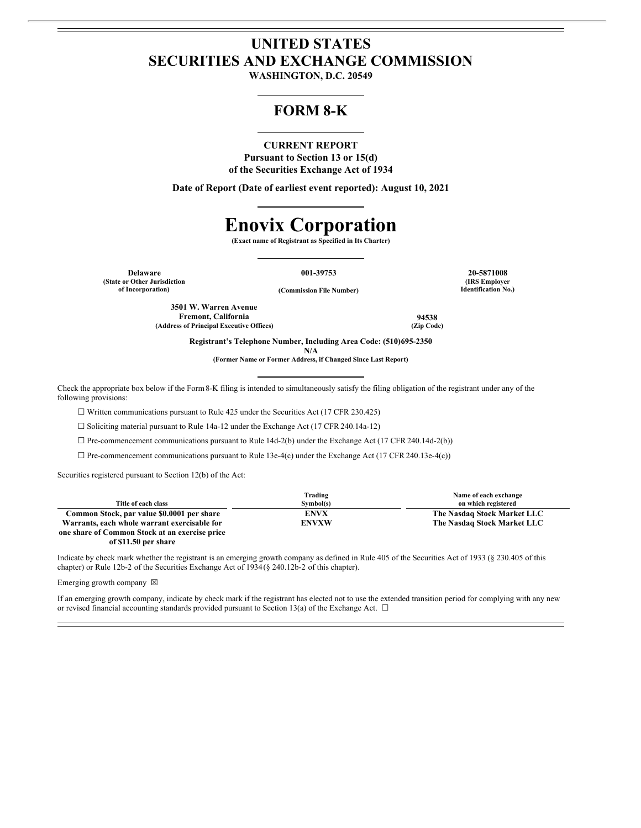# **UNITED STATES SECURITIES AND EXCHANGE COMMISSION**

**WASHINGTON, D.C. 20549**

## **FORM 8-K**

## **CURRENT REPORT**

**Pursuant to Section 13 or 15(d) of the Securities Exchange Act of 1934**

**Date of Report (Date of earliest event reported): August 10, 2021**

# **Enovix Corporation**

**(Exact name of Registrant as Specified in Its Charter)**

**(State or Other Jurisdiction**

**of Incorporation) (Commission File Number)**

**Delaware 001-39753 20-5871008 (IRS Employer Identification No.)**

**3501 W. Warren Avenue Fremont, California 94538 (Address of Principal Executive Offices) (Zip Code)**

**Registrant's Telephone Number, Including Area Code: (510)695-2350**

**N/A**

**(Former Name or Former Address, if Changed Since Last Report)**

Check the appropriate box below if the Form8-K filing is intended to simultaneously satisfy the filing obligation of the registrant under any of the following provisions:

☐ Written communications pursuant to Rule 425 under the Securities Act (17 CFR 230.425)

☐ Soliciting material pursuant to Rule 14a-12 under the Exchange Act (17 CFR 240.14a-12)

 $\Box$  Pre-commencement communications pursuant to Rule 14d-2(b) under the Exchange Act (17 CFR 240.14d-2(b))

 $\Box$  Pre-commencement communications pursuant to Rule 13e-4(c) under the Exchange Act (17 CFR 240.13e-4(c))

Securities registered pursuant to Section 12(b) of the Act:

|                                                | Trading      | Name of each exchange       |
|------------------------------------------------|--------------|-----------------------------|
| Title of each class                            | Symbol(s)    | on which registered         |
| Common Stock, par value \$0.0001 per share     | <b>ENVX</b>  | The Nasdaq Stock Market LLC |
| Warrants, each whole warrant exercisable for   | <b>ENVXW</b> | The Nasdaq Stock Market LLC |
| one share of Common Stock at an exercise price |              |                             |

**of \$11.50 per share**

Indicate by check mark whether the registrant is an emerging growth company as defined in Rule 405 of the Securities Act of 1933 (§ 230.405 of this chapter) or Rule 12b-2 of the Securities Exchange Act of 1934(§ 240.12b-2 of this chapter).

Emerging growth company  $\boxtimes$ 

If an emerging growth company, indicate by check mark if the registrant has elected not to use the extended transition period for complying with any new or revised financial accounting standards provided pursuant to Section 13(a) of the Exchange Act.  $\Box$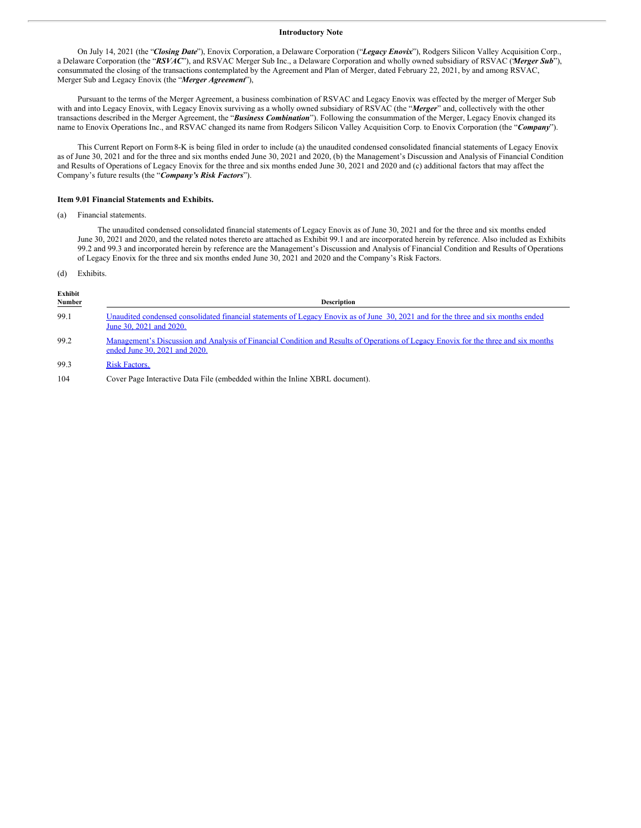#### **Introductory Note**

On July 14, 2021 (the "*Closing Date*"), Enovix Corporation, a Delaware Corporation ("*Legacy Enovix*"), Rodgers Silicon Valley Acquisition Corp., a Delaware Corporation (the "*RSVAC*"), and RSVAC Merger Sub Inc., a Delaware Corporation and wholly owned subsidiary of RSVAC ("*Merger Sub*"), consummated the closing of the transactions contemplated by the Agreement and Plan of Merger, dated February 22, 2021, by and among RSVAC, Merger Sub and Legacy Enovix (the "*Merger Agreement*"),

Pursuant to the terms of the Merger Agreement, a business combination of RSVAC and Legacy Enovix was effected by the merger of Merger Sub with and into Legacy Enovix, with Legacy Enovix surviving as a wholly owned subsidiary of RSVAC (the "*Merger*" and, collectively with the other transactions described in the Merger Agreement, the "*Business Combination*"). Following the consummation of the Merger, Legacy Enovix changed its name to Enovix Operations Inc., and RSVAC changed its name from Rodgers Silicon Valley Acquisition Corp. to Enovix Corporation (the "*Company*").

This Current Report on Form8-K is being filed in order to include (a) the unaudited condensed consolidated financial statements of Legacy Enovix as of June 30, 2021 and for the three and six months ended June 30, 2021 and 2020, (b) the Management's Discussion and Analysis of Financial Condition and Results of Operations of Legacy Enovix for the three and six months ended June 30, 2021 and 2020 and (c) additional factors that may affect the Company's future results (the "*Company's Risk Factors*").

#### **Item 9.01 Financial Statements and Exhibits.**

(a) Financial statements.

The unaudited condensed consolidated financial statements of Legacy Enovix as of June 30, 2021 and for the three and six months ended June 30, 2021 and 2020, and the related notes thereto are attached as Exhibit 99.1 and are incorporated herein by reference. Also included as Exhibits 99.2 and 99.3 and incorporated herein by reference are the Management's Discussion and Analysis of Financial Condition and Results of Operations of Legacy Enovix for the three and six months ended June 30, 2021 and 2020 and the Company's Risk Factors.

#### (d) Exhibits.

| Exhibit<br><b>Number</b> | <b>Description</b>                                                                                                                                                   |
|--------------------------|----------------------------------------------------------------------------------------------------------------------------------------------------------------------|
| 99.1                     | Unaudited condensed consolidated financial statements of Legacy Enovix as of June 30, 2021 and for the three and six months ended<br>June 30, 2021 and 2020.         |
| 99.2                     | Management's Discussion and Analysis of Financial Condition and Results of Operations of Legacy Enovix for the three and six months<br>ended June 30, 2021 and 2020. |
| 99.3                     | <b>Risk Factors.</b>                                                                                                                                                 |
| 104                      | Cover Page Interactive Data File (embedded within the Inline XBRL document).                                                                                         |